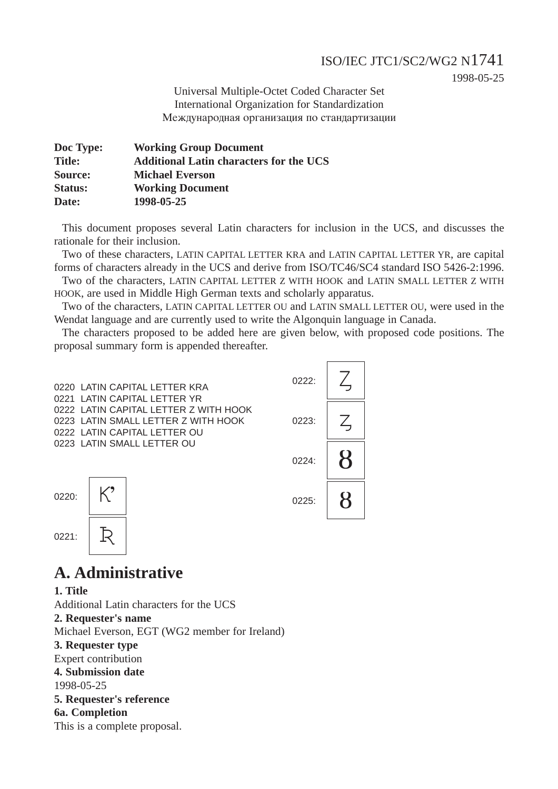### ISO/IEC JTC1/SC2/WG2 N1741

1998-05-25

Universal Multiple-Octet Coded Character Set International Organization for Standardization Международная организация по стандартизации

| Doc Type:      | <b>Working Group Document</b>                  |
|----------------|------------------------------------------------|
| <b>Title:</b>  | <b>Additional Latin characters for the UCS</b> |
| Source:        | <b>Michael Everson</b>                         |
| <b>Status:</b> | <b>Working Document</b>                        |
| Date:          | 1998-05-25                                     |

This document proposes several Latin characters for inclusion in the UCS, and discusses the rationale for their inclusion.

Two of these characters, LATIN CAPITAL LETTER KRA and LATIN CAPITAL LETTER YR, are capital forms of characters already in the UCS and derive from ISO/TC46/SC4 standard ISO 5426-2:1996.

Two of the characters, LATIN CAPITAL LETTER Z WITH HOOK and LATIN SMALL LETTER Z WITH HOOK, are used in Middle High German texts and scholarly apparatus.

Two of the characters, LATIN CAPITAL LETTER OU and LATIN SMALL LETTER OU, were used in the Wendat language and are currently used to write the Algonquin language in Canada.

The characters proposed to be added here are given below, with proposed code positions. The proposal summary form is appended thereafter.



# **A. Administrative**

**1. Title** Additional Latin characters for the UCS **2. Requester's name** Michael Everson, EGT (WG2 member for Ireland) **3. Requester type** Expert contribution **4. Submission date** 1998-05-25 **5. Requester's reference 6a. Completion** This is a complete proposal.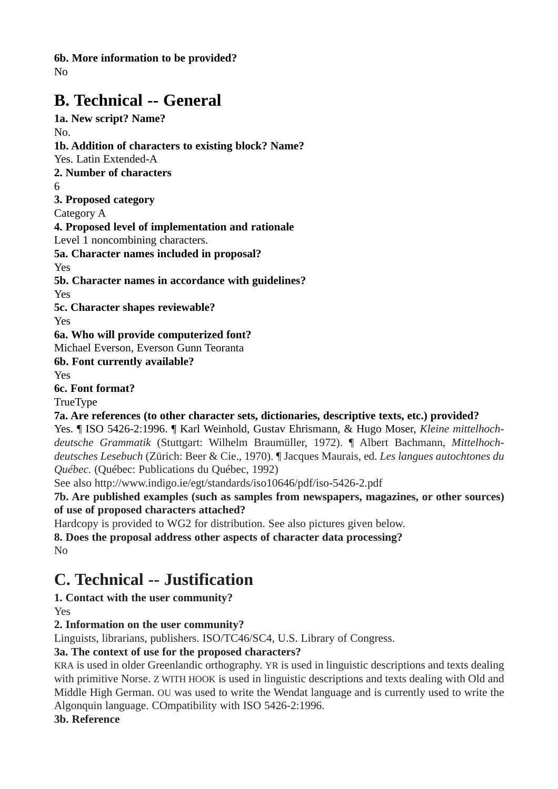**6b. More information to be provided?**

No

# **B. Technical -- General**

**1a. New script? Name?** No. **1b. Addition of characters to existing block? Name?** Yes. Latin Extended-A **2. Number of characters** 6 **3. Proposed category** Category A **4. Proposed level of implementation and rationale** Level 1 noncombining characters. **5a. Character names included in proposal?** Yes **5b. Character names in accordance with guidelines?** Yes **5c. Character shapes reviewable?** Yes **6a. Who will provide computerized font?** Michael Everson, Everson Gunn Teoranta **6b. Font currently available?** Yes **6c. Font format?** TrueType **7a. Are references (to other character sets, dictionaries, descriptive texts, etc.) provided?** Yes. ¶ ISO 5426-2:1996. ¶ Karl Weinhold, Gustav Ehrismann, & Hugo Moser, *Kleine mittelhochdeutsche Grammatik* (Stuttgart: Wilhelm Braumüller, 1972). ¶ Albert Bachmann, *Mittelhochdeutsches Lesebuch* (Zürich: Beer & Cie., 1970). ¶ Jacques Maurais, ed. *Les langues autochtones du Québec.* (Québec: Publications du Québec, 1992)

See also http://www.indigo.ie/egt/standards/iso10646/pdf/iso-5426-2.pdf

**7b. Are published examples (such as samples from newspapers, magazines, or other sources) of use of proposed characters attached?**

Hardcopy is provided to WG2 for distribution. See also pictures given below.

**8. Does the proposal address other aspects of character data processing?** No

# **C. Technical -- Justification**

**1. Contact with the user community?** Yes

## **2. Information on the user community?**

Linguists, librarians, publishers. ISO/TC46/SC4, U.S. Library of Congress.

### **3a. The context of use for the proposed characters?**

KRA is used in older Greenlandic orthography. YR is used in linguistic descriptions and texts dealing with primitive Norse. Z WITH HOOK is used in linguistic descriptions and texts dealing with Old and Middle High German. OU was used to write the Wendat language and is currently used to write the Algonquin language. COmpatibility with ISO 5426-2:1996.

**3b. Reference**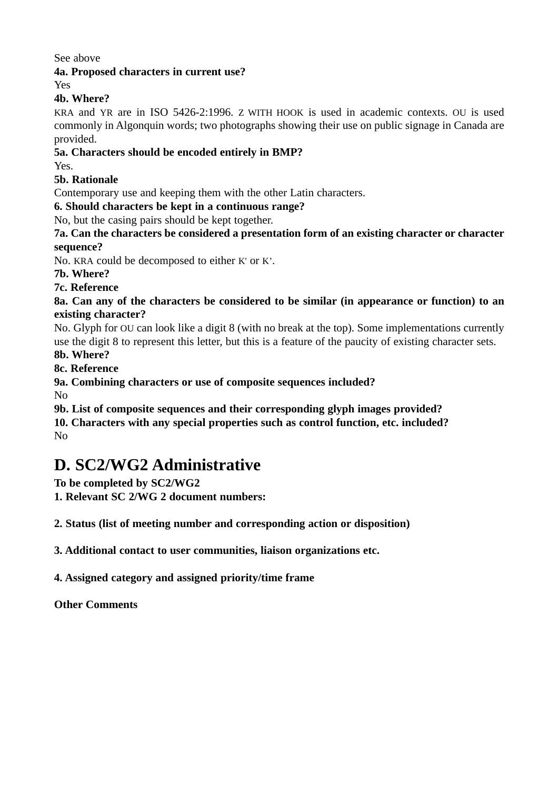See above

**4a. Proposed characters in current use?**

Yes

#### **4b. Where?**

KRA and YR are in ISO 5426-2:1996. Z WITH HOOK is used in academic contexts. OU is used commonly in Algonquin words; two photographs showing their use on public signage in Canada are provided.

#### **5a. Characters should be encoded entirely in BMP?**

Yes.

#### **5b. Rationale**

Contemporary use and keeping them with the other Latin characters.

#### **6. Should characters be kept in a continuous range?**

No, but the casing pairs should be kept together.

**7a. Can the characters be considered a presentation form of an existing character or character sequence?** 

No. KRA could be decomposed to either K' or K'.

**7b. Where?**

**7c. Reference**

**8a. Can any of the characters be considered to be similar (in appearance or function) to an existing character?**

No. Glyph for OU can look like a digit 8 (with no break at the top). Some implementations currently use the digit 8 to represent this letter, but this is a feature of the paucity of existing character sets.

**8b. Where?**

**8c. Reference**

**9a. Combining characters or use of composite sequences included?**

No

**9b. List of composite sequences and their corresponding glyph images provided?**

**10. Characters with any special properties such as control function, etc. included?** No

# **D. SC2/WG2 Administrative**

**To be completed by SC2/WG2** 

**1. Relevant SC 2/WG 2 document numbers:**

**2. Status (list of meeting number and corresponding action or disposition)**

**3. Additional contact to user communities, liaison organizations etc.**

**4. Assigned category and assigned priority/time frame**

**Other Comments**